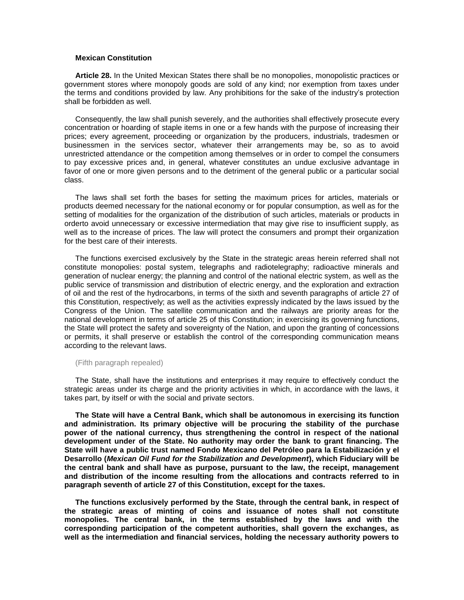## **Mexican Constitution**

**Article 28.** In the United Mexican States there shall be no monopolies, monopolistic practices or government stores where monopoly goods are sold of any kind; nor exemption from taxes under the terms and conditions provided by law. Any prohibitions for the sake of the industry's protection shall be forbidden as well.

Consequently, the law shall punish severely, and the authorities shall effectively prosecute every concentration or hoarding of staple items in one or a few hands with the purpose of increasing their prices; every agreement, proceeding or organization by the producers, industrials, tradesmen or businessmen in the services sector, whatever their arrangements may be, so as to avoid unrestricted attendance or the competition among themselves or in order to compel the consumers to pay excessive prices and, in general, whatever constitutes an undue exclusive advantage in favor of one or more given persons and to the detriment of the general public or a particular social class.

The laws shall set forth the bases for setting the maximum prices for articles, materials or products deemed necessary for the national economy or for popular consumption, as well as for the setting of modalities for the organization of the distribution of such articles, materials or products in orderto avoid unnecessary or excessive intermediation that may give rise to insufficient supply, as well as to the increase of prices. The law will protect the consumers and prompt their organization for the best care of their interests.

The functions exercised exclusively by the State in the strategic areas herein referred shall not constitute monopolies: postal system, telegraphs and radiotelegraphy; radioactive minerals and generation of nuclear energy; the planning and control of the national electric system, as well as the public service of transmission and distribution of electric energy, and the exploration and extraction of oil and the rest of the hydrocarbons, in terms of the sixth and seventh paragraphs of article 27 of this Constitution, respectively; as well as the activities expressly indicated by the laws issued by the Congress of the Union. The satellite communication and the railways are priority areas for the national development in terms of article 25 of this Constitution; in exercising its governing functions, the State will protect the safety and sovereignty of the Nation, and upon the granting of concessions or permits, it shall preserve or establish the control of the corresponding communication means according to the relevant laws.

## (Fifth paragraph repealed)

The State, shall have the institutions and enterprises it may require to effectively conduct the strategic areas under its charge and the priority activities in which, in accordance with the laws, it takes part, by itself or with the social and private sectors.

**The State will have a Central Bank, which shall be autonomous in exercising its function and administration. Its primary objective will be procuring the stability of the purchase power of the national currency, thus strengthening the control in respect of the national development under of the State. No authority may order the bank to grant financing. The State will have a public trust named Fondo Mexicano del Petróleo para la Estabilización y el Desarrollo (***Mexican Oil Fund for the Stabilization and Development***), which Fiduciary will be the central bank and shall have as purpose, pursuant to the law, the receipt, management and distribution of the income resulting from the allocations and contracts referred to in paragraph seventh of article 27 of this Constitution, except for the taxes.**

**The functions exclusively performed by the State, through the central bank, in respect of the strategic areas of minting of coins and issuance of notes shall not constitute monopolies. The central bank, in the terms established by the laws and with the corresponding participation of the competent authorities, shall govern the exchanges, as well as the intermediation and financial services, holding the necessary authority powers to**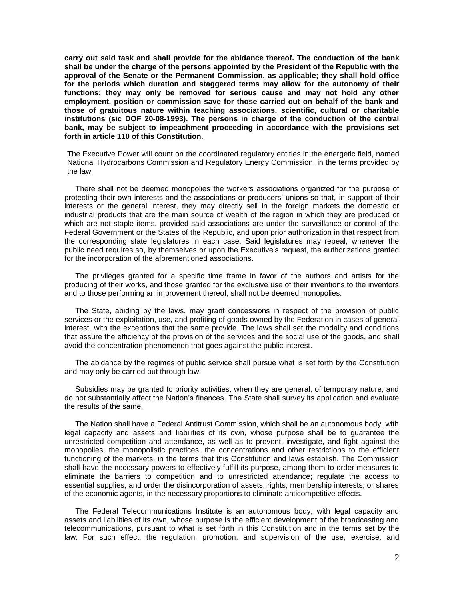**carry out said task and shall provide for the abidance thereof. The conduction of the bank shall be under the charge of the persons appointed by the President of the Republic with the approval of the Senate or the Permanent Commission, as applicable; they shall hold office for the periods which duration and staggered terms may allow for the autonomy of their functions; they may only be removed for serious cause and may not hold any other employment, position or commission save for those carried out on behalf of the bank and those of gratuitous nature within teaching associations, scientific, cultural or charitable institutions (sic DOF 20-08-1993). The persons in charge of the conduction of the central bank, may be subject to impeachment proceeding in accordance with the provisions set forth in article 110 of this Constitution.** 

The Executive Power will count on the coordinated regulatory entities in the energetic field, named National Hydrocarbons Commission and Regulatory Energy Commission, in the terms provided by the law.

There shall not be deemed monopolies the workers associations organized for the purpose of protecting their own interests and the associations or producers' unions so that, in support of their interests or the general interest, they may directly sell in the foreign markets the domestic or industrial products that are the main source of wealth of the region in which they are produced or which are not staple items, provided said associations are under the surveillance or control of the Federal Government or the States of the Republic, and upon prior authorization in that respect from the corresponding state legislatures in each case. Said legislatures may repeal, whenever the public need requires so, by themselves or upon the Executive's request, the authorizations granted for the incorporation of the aforementioned associations.

The privileges granted for a specific time frame in favor of the authors and artists for the producing of their works, and those granted for the exclusive use of their inventions to the inventors and to those performing an improvement thereof, shall not be deemed monopolies.

The State, abiding by the laws, may grant concessions in respect of the provision of public services or the exploitation, use, and profiting of goods owned by the Federation in cases of general interest, with the exceptions that the same provide. The laws shall set the modality and conditions that assure the efficiency of the provision of the services and the social use of the goods, and shall avoid the concentration phenomenon that goes against the public interest.

The abidance by the regimes of public service shall pursue what is set forth by the Constitution and may only be carried out through law.

Subsidies may be granted to priority activities, when they are general, of temporary nature, and do not substantially affect the Nation's finances. The State shall survey its application and evaluate the results of the same.

The Nation shall have a Federal Antitrust Commission, which shall be an autonomous body, with legal capacity and assets and liabilities of its own, whose purpose shall be to guarantee the unrestricted competition and attendance, as well as to prevent, investigate, and fight against the monopolies, the monopolistic practices, the concentrations and other restrictions to the efficient functioning of the markets, in the terms that this Constitution and laws establish. The Commission shall have the necessary powers to effectively fulfill its purpose, among them to order measures to eliminate the barriers to competition and to unrestricted attendance; regulate the access to essential supplies, and order the disincorporation of assets, rights, membership interests, or shares of the economic agents, in the necessary proportions to eliminate anticompetitive effects.

The Federal Telecommunications Institute is an autonomous body, with legal capacity and assets and liabilities of its own, whose purpose is the efficient development of the broadcasting and telecommunications, pursuant to what is set forth in this Constitution and in the terms set by the law. For such effect, the regulation, promotion, and supervision of the use, exercise, and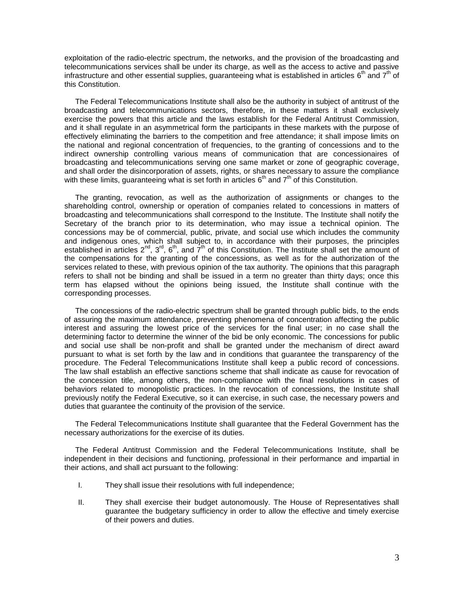exploitation of the radio-electric spectrum, the networks, and the provision of the broadcasting and telecommunications services shall be under its charge, as well as the access to active and passive infrastructure and other essential supplies, guaranteeing what is established in articles  $6<sup>th</sup>$  and  $7<sup>th</sup>$  of this Constitution.

The Federal Telecommunications Institute shall also be the authority in subject of antitrust of the broadcasting and telecommunications sectors, therefore, in these matters it shall exclusively exercise the powers that this article and the laws establish for the Federal Antitrust Commission, and it shall regulate in an asymmetrical form the participants in these markets with the purpose of effectively eliminating the barriers to the competition and free attendance; it shall impose limits on the national and regional concentration of frequencies, to the granting of concessions and to the indirect ownership controlling various means of communication that are concessionaires of broadcasting and telecommunications serving one same market or zone of geographic coverage, and shall order the disincorporation of assets, rights, or shares necessary to assure the compliance with these limits, guaranteeing what is set forth in articles  $6<sup>th</sup>$  and  $7<sup>th</sup>$  of this Constitution.

The granting, revocation, as well as the authorization of assignments or changes to the shareholding control, ownership or operation of companies related to concessions in matters of broadcasting and telecommunications shall correspond to the Institute. The Institute shall notify the Secretary of the branch prior to its determination, who may issue a technical opinion. The concessions may be of commercial, public, private, and social use which includes the community and indigenous ones, which shall subject to, in accordance with their purposes, the principles established in articles  $2^{nd}$ ,  $3^{rd}$ ,  $6^{th}$ , and  $7^{th}$  of this Constitution. The Institute shall set the amount of the compensations for the granting of the concessions, as well as for the authorization of the services related to these, with previous opinion of the tax authority. The opinions that this paragraph refers to shall not be binding and shall be issued in a term no greater than thirty days; once this term has elapsed without the opinions being issued, the Institute shall continue with the corresponding processes.

The concessions of the radio-electric spectrum shall be granted through public bids, to the ends of assuring the maximum attendance, preventing phenomena of concentration affecting the public interest and assuring the lowest price of the services for the final user; in no case shall the determining factor to determine the winner of the bid be only economic. The concessions for public and social use shall be non-profit and shall be granted under the mechanism of direct award pursuant to what is set forth by the law and in conditions that guarantee the transparency of the procedure. The Federal Telecommunications Institute shall keep a public record of concessions. The law shall establish an effective sanctions scheme that shall indicate as cause for revocation of the concession title, among others, the non-compliance with the final resolutions in cases of behaviors related to monopolistic practices. In the revocation of concessions, the Institute shall previously notify the Federal Executive, so it can exercise, in such case, the necessary powers and duties that guarantee the continuity of the provision of the service.

The Federal Telecommunications Institute shall guarantee that the Federal Government has the necessary authorizations for the exercise of its duties.

The Federal Antitrust Commission and the Federal Telecommunications Institute, shall be independent in their decisions and functioning, professional in their performance and impartial in their actions, and shall act pursuant to the following:

- I. They shall issue their resolutions with full independence;
- II. They shall exercise their budget autonomously. The House of Representatives shall guarantee the budgetary sufficiency in order to allow the effective and timely exercise of their powers and duties.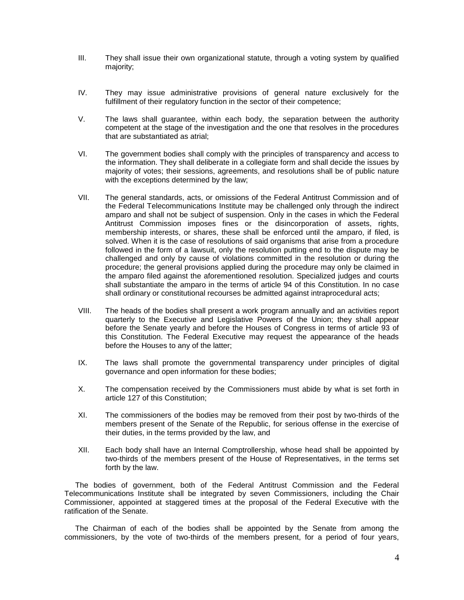- III. They shall issue their own organizational statute, through a voting system by qualified majority;
- IV. They may issue administrative provisions of general nature exclusively for the fulfillment of their regulatory function in the sector of their competence;
- V. The laws shall guarantee, within each body, the separation between the authority competent at the stage of the investigation and the one that resolves in the procedures that are substantiated as atrial;
- VI. The government bodies shall comply with the principles of transparency and access to the information. They shall deliberate in a collegiate form and shall decide the issues by majority of votes; their sessions, agreements, and resolutions shall be of public nature with the exceptions determined by the law;
- VII. The general standards, acts, or omissions of the Federal Antitrust Commission and of the Federal Telecommunications Institute may be challenged only through the indirect amparo and shall not be subject of suspension. Only in the cases in which the Federal Antitrust Commission imposes fines or the disincorporation of assets, rights, membership interests, or shares, these shall be enforced until the amparo, if filed, is solved. When it is the case of resolutions of said organisms that arise from a procedure followed in the form of a lawsuit, only the resolution putting end to the dispute may be challenged and only by cause of violations committed in the resolution or during the procedure; the general provisions applied during the procedure may only be claimed in the amparo filed against the aforementioned resolution. Specialized judges and courts shall substantiate the amparo in the terms of article 94 of this Constitution. In no case shall ordinary or constitutional recourses be admitted against intraprocedural acts;
- VIII. The heads of the bodies shall present a work program annually and an activities report quarterly to the Executive and Legislative Powers of the Union; they shall appear before the Senate yearly and before the Houses of Congress in terms of article 93 of this Constitution. The Federal Executive may request the appearance of the heads before the Houses to any of the latter;
- IX. The laws shall promote the governmental transparency under principles of digital governance and open information for these bodies;
- X. The compensation received by the Commissioners must abide by what is set forth in article 127 of this Constitution;
- XI. The commissioners of the bodies may be removed from their post by two-thirds of the members present of the Senate of the Republic, for serious offense in the exercise of their duties, in the terms provided by the law, and
- XII. Each body shall have an Internal Comptrollership, whose head shall be appointed by two-thirds of the members present of the House of Representatives, in the terms set forth by the law.

The bodies of government, both of the Federal Antitrust Commission and the Federal Telecommunications Institute shall be integrated by seven Commissioners, including the Chair Commissioner, appointed at staggered times at the proposal of the Federal Executive with the ratification of the Senate.

The Chairman of each of the bodies shall be appointed by the Senate from among the commissioners, by the vote of two-thirds of the members present, for a period of four years,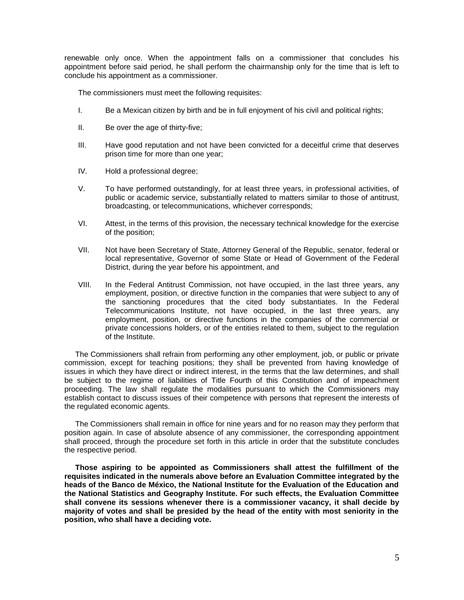renewable only once. When the appointment falls on a commissioner that concludes his appointment before said period, he shall perform the chairmanship only for the time that is left to conclude his appointment as a commissioner.

The commissioners must meet the following requisites:

- I. Be a Mexican citizen by birth and be in full enjoyment of his civil and political rights;
- II. Be over the age of thirty-five;
- III. Have good reputation and not have been convicted for a deceitful crime that deserves prison time for more than one year;
- IV. Hold a professional degree;
- V. To have performed outstandingly, for at least three years, in professional activities, of public or academic service, substantially related to matters similar to those of antitrust, broadcasting, or telecommunications, whichever corresponds;
- VI. Attest, in the terms of this provision, the necessary technical knowledge for the exercise of the position;
- VII. Not have been Secretary of State, Attorney General of the Republic, senator, federal or local representative, Governor of some State or Head of Government of the Federal District, during the year before his appointment, and
- VIII. In the Federal Antitrust Commission, not have occupied, in the last three years, any employment, position, or directive function in the companies that were subject to any of the sanctioning procedures that the cited body substantiates. In the Federal Telecommunications Institute, not have occupied, in the last three years, any employment, position, or directive functions in the companies of the commercial or private concessions holders, or of the entities related to them, subject to the regulation of the Institute.

The Commissioners shall refrain from performing any other employment, job, or public or private commission, except for teaching positions; they shall be prevented from having knowledge of issues in which they have direct or indirect interest, in the terms that the law determines, and shall be subject to the regime of liabilities of Title Fourth of this Constitution and of impeachment proceeding. The law shall regulate the modalities pursuant to which the Commissioners may establish contact to discuss issues of their competence with persons that represent the interests of the regulated economic agents.

The Commissioners shall remain in office for nine years and for no reason may they perform that position again. In case of absolute absence of any commissioner, the corresponding appointment shall proceed, through the procedure set forth in this article in order that the substitute concludes the respective period.

**Those aspiring to be appointed as Commissioners shall attest the fulfillment of the requisites indicated in the numerals above before an Evaluation Committee integrated by the heads of the Banco de México, the National Institute for the Evaluation of the Education and the National Statistics and Geography Institute. For such effects, the Evaluation Committee shall convene its sessions whenever there is a commissioner vacancy, it shall decide by majority of votes and shall be presided by the head of the entity with most seniority in the position, who shall have a deciding vote.**